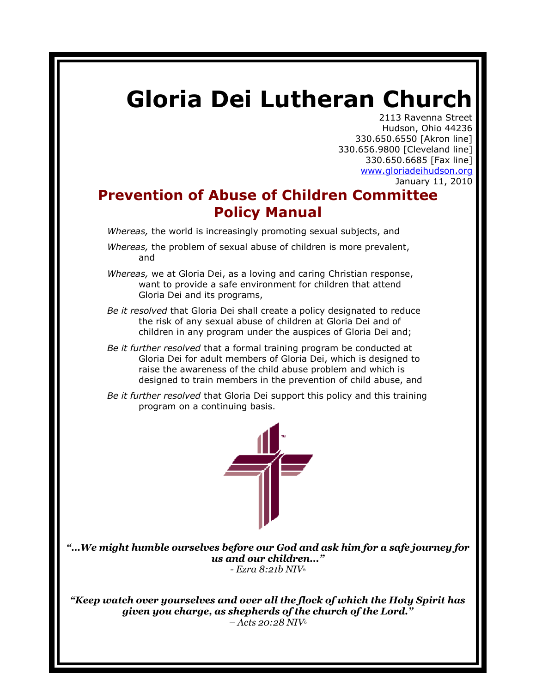# **Gloria Dei Lutheran Church**

2113 Ravenna Street Hudson, Ohio 44236 330.650.6550 [Akron line] 330.656.9800 [Cleveland line] 330.650.6685 [Fax line] [www.gloriadeihudson.org](http://www.gloriadeihudson.org/) January 11, 2010

# **Prevention of Abuse of Children Committee Policy Manual**

*Whereas,* the world is increasingly promoting sexual subjects, and

- *Whereas,* the problem of sexual abuse of children is more prevalent, and
- *Whereas,* we at Gloria Dei, as a loving and caring Christian response, want to provide a safe environment for children that attend Gloria Dei and its programs,
- *Be it resolved* that Gloria Dei shall create a policy designated to reduce the risk of any sexual abuse of children at Gloria Dei and of children in any program under the auspices of Gloria Dei and;
- *Be it further resolved* that a formal training program be conducted at Gloria Dei for adult members of Gloria Dei, which is designed to raise the awareness of the child abuse problem and which is designed to train members in the prevention of child abuse, and
- *Be it further resolved* that Gloria Dei support this policy and this training program on a continuing basis.



*"…We might humble ourselves before our God and ask him for a safe journey for us and our children..." - Ezra 8:21b NIV*<sup>6</sup>

*"Keep watch over yourselves and over all the flock of which the Holy Spirit has given you charge, as shepherds of the church of the Lord." – Acts 20:28 NIV*<sup>6</sup>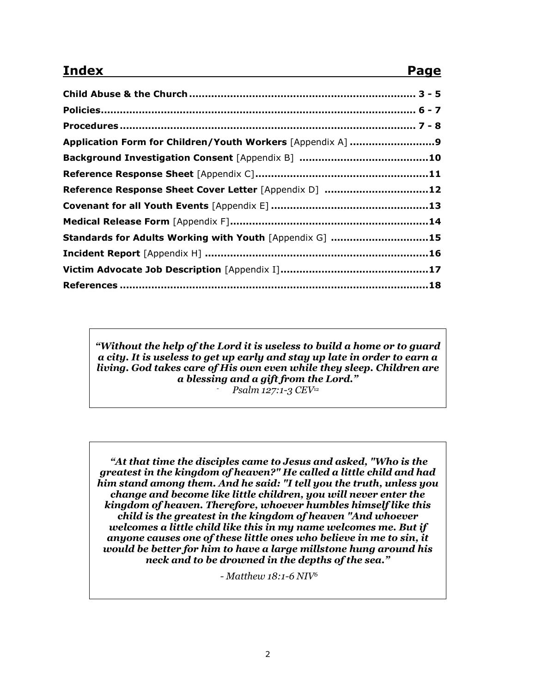# **Index Page**

| Application Form for Children/Youth Workers [Appendix A] 9 |  |
|------------------------------------------------------------|--|
|                                                            |  |
|                                                            |  |
| Reference Response Sheet Cover Letter [Appendix D] 12      |  |
|                                                            |  |
|                                                            |  |
| Standards for Adults Working with Youth [Appendix G] 15    |  |
|                                                            |  |
|                                                            |  |
|                                                            |  |

*"Without the help of the Lord it is useless to build a home or to guard a city. It is useless to get up early and stay up late in order to earn a living. God takes care of His own even while they sleep. Children are a blessing and a gift from the Lord." - Psalm 127:1-3 CEV*<sup>12</sup>

*"At that time the disciples came to Jesus and asked, "Who is the greatest in the kingdom of heaven?" He called a little child and had him stand among them. And he said: "I tell you the truth, unless you change and become like little children, you will never enter the kingdom of heaven. Therefore, whoever humbles himself like this child is the greatest in the kingdom of heaven "And whoever welcomes a little child like this in my name welcomes me. But if anyone causes one of these little ones who believe in me to sin, it would be better for him to have a large millstone hung around his neck and to be drowned in the depths of the sea."* 

*- Matthew 18:1-6 NIV<sup>6</sup>*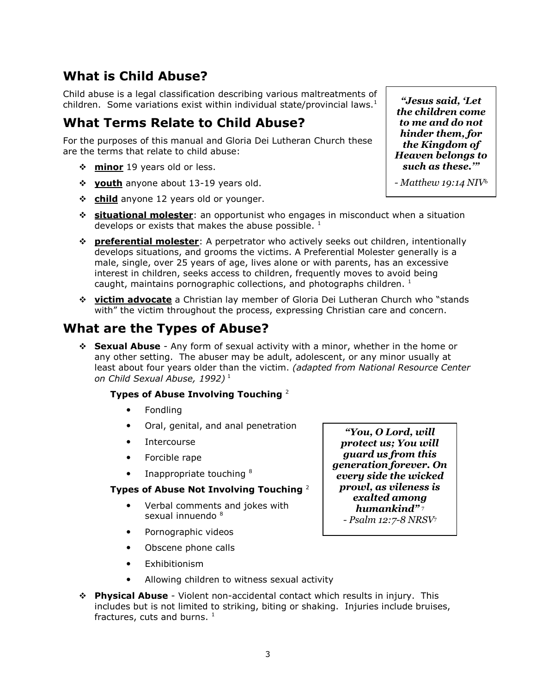# **What is Child Abuse?**

Child abuse is a legal classification describing various maltreatments of children. Some variations exist within individual state/provincial laws.<sup>1</sup>

#### **What Terms Relate to Child Abuse?**

For the purposes of this manual and Gloria Dei Lutheran Church these are the terms that relate to child abuse:

- **❖ minor** 19 years old or less.
- **youth** anyone about 13-19 years old.
- **☆** child anyone 12 years old or younger.
- **situational molester**: an opportunist who engages in misconduct when a situation develops or exists that makes the abuse possible.  $^1$
- **preferential molester**: A perpetrator who actively seeks out children, intentionally develops situations, and grooms the victims. A Preferential Molester generally is a male, single, over 25 years of age, lives alone or with parents, has an excessive interest in children, seeks access to children, frequently moves to avoid being caught, maintains pornographic collections, and photographs children.  $1$
- **victim advocate** a Christian lay member of Gloria Dei Lutheran Church who "stands with" the victim throughout the process, expressing Christian care and concern.

#### **What are the Types of Abuse?**

 **Sexual Abuse** - Any form of sexual activity with a minor, whether in the home or any other setting. The abuser may be adult, adolescent, or any minor usually at least about four years older than the victim. *(adapted from National Resource Center on Child Sexual Abuse, 1992)* <sup>1</sup>

#### **Types of Abuse Involving Touching** <sup>2</sup>

- Fondling
- Oral, genital, and anal penetration
- **Intercourse**
- Forcible rape
- Inappropriate touching <sup>8</sup>

#### **Types of Abuse Not Involving Touching** <sup>2</sup>

- Verbal comments and jokes with sexual innuendo <sup>8</sup>
- Pornographic videos
- Obscene phone calls
- Exhibitionism
- Allowing children to witness sexual activity
- **Physical Abuse** Violent non-accidental contact which results in injury. This includes but is not limited to striking, biting or shaking. Injuries include bruises, fractures, cuts and burns.  $1$

*"You, O Lord, will protect us; You will guard us from this generation forever. On every side the wicked prowl, as vileness is exalted among humankind"* <sup>7</sup> *- Psalm 12:7-8 NRSV*<sup>7</sup>

*"Jesus said, "Let the children come to me and do not hinder them, for the Kingdom of Heaven belongs to such as these.""*

*- Matthew 19:14 NIV*<sup>6</sup>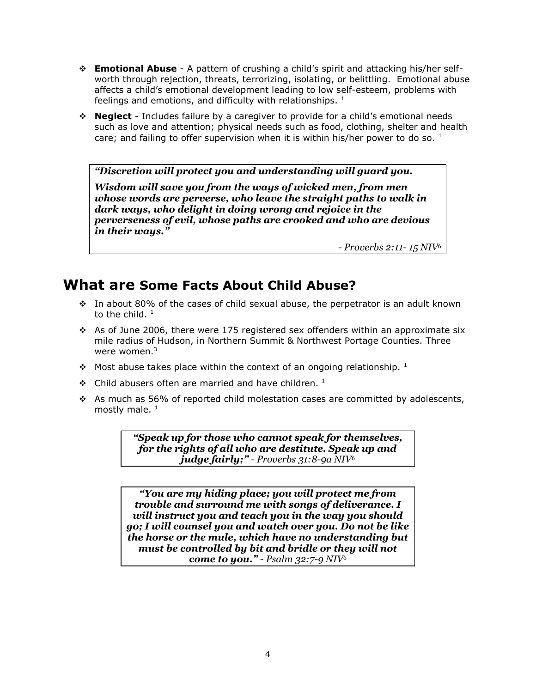- **Emotional Abuse** A pattern of crushing a child's spirit and attacking his/her selfworth through rejection, threats, terrorizing, isolating, or belittling. Emotional abuse affects a child's emotional development leading to low self-esteem, problems with feelings and emotions, and difficulty with relationships.  $1$
- **Neglect** Includes failure by a caregiver to provide for a child's emotional needs such as love and attention; physical needs such as food, clothing, shelter and health care; and failing to offer supervision when it is within his/her power to do so.  $1$

*"Discretion will protect you and understanding will guard you.* 

*Wisdom will save you from the ways of wicked men, from men whose words are perverse, who leave the straight paths to walk in dark ways, who delight in doing wrong and rejoice in the perverseness of evil, whose paths are crooked and who are devious in their ways."*

*- Proverbs 2:11- 15 NIV*<sup>6</sup>

# **What are Some Facts About Child Abuse?**

- $\cdot$  In about 80% of the cases of child sexual abuse, the perpetrator is an adult known to the child.  $^1$
- $\cdot$  As of June 2006, there were 175 registered sex offenders within an approximate six mile radius of Hudson, in Northern Summit & Northwest Portage Counties. Three were women. $3$
- Most abuse takes place within the context of an ongoing relationship.  $1$
- $\div$  Child abusers often are married and have children.<sup>1</sup>
- As much as 56% of reported child molestation cases are committed by adolescents, mostly male.  $1$

*"Speak up for those who cannot speak for themselves, for the rights of all who are destitute. Speak up and judge fairly;" - Proverbs 31:8-9a NIV*<sup>6</sup>

*"You are my hiding place; you will protect me from trouble and surround me with songs of deliverance. I will instruct you and teach you in the way you should go; I will counsel you and watch over you. Do not be like the horse or the mule, which have no understanding but must be controlled by bit and bridle or they will not come to you." - Psalm 32:7-9 NIV*<sup>6</sup>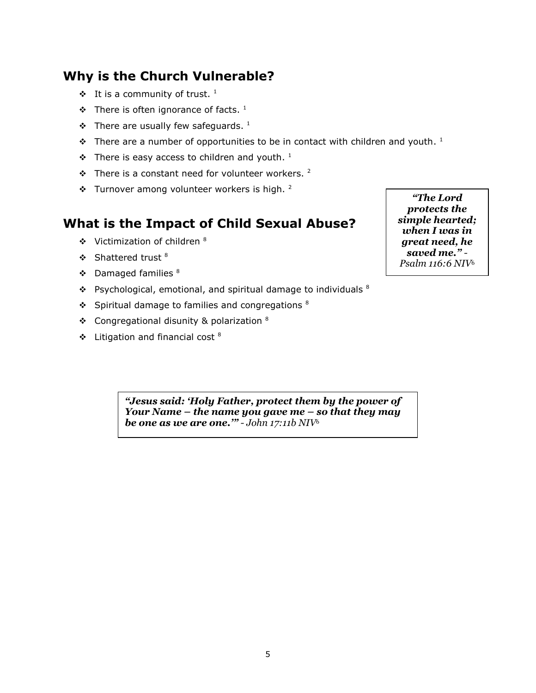# **Why is the Church Vulnerable?**

- $\mathbf{\hat{P}}$  It is a community of trust. <sup>1</sup>
- $\mathbf{\hat{P}}$  There is often ignorance of facts. <sup>1</sup>
- $\mathbf{\hat{P}}$  There are usually few safeguards. <sup>1</sup>
- $\bullet$  There are a number of opportunities to be in contact with children and youth. <sup>1</sup>
- $\div$  There is easy access to children and youth. <sup>1</sup>
- $\cdot$  There is a constant need for volunteer workers. <sup>2</sup>
- $\cdot$  Turnover among volunteer workers is high. <sup>2</sup>

#### **What is the Impact of Child Sexual Abuse?**

- $\div$  Victimization of children  $8$
- $\div$  Shattered trust  $8$
- $\div$  Damaged families  $8$
- $\cdot$  Psychological, emotional, and spiritual damage to individuals  $8$
- $\div$  Spiritual damage to families and congregations  $8$
- $\div$  Congregational disunity & polarization  $8$
- $\div$  Litigation and financial cost  $8$

*"The Lord protects the simple hearted; when I was in great need, he saved me." - Psalm 116:6 NIV*<sup>6</sup>

*"Jesus said: "Holy Father, protect them by the power of Your Name – the name you gave me – so that they may be one as we are one."" - John 17:11b NIV*<sup>6</sup>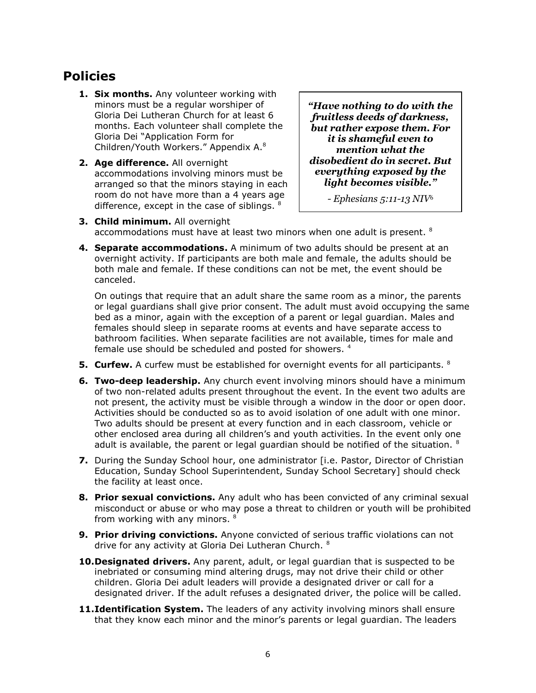# **Policies**

- **1. Six months.** Any volunteer working with minors must be a regular worshiper of Gloria Dei Lutheran Church for at least 6 months. Each volunteer shall complete the Gloria Dei "Application Form for Children/Youth Workers." Appendix A.<sup>8</sup>
- **2. Age difference.** All overnight accommodations involving minors must be arranged so that the minors staying in each room do not have more than a 4 years age difference, except in the case of siblings.  $8$

*"Have nothing to do with the fruitless deeds of darkness, but rather expose them. For it is shameful even to mention what the disobedient do in secret. But everything exposed by the light becomes visible."*

*- Ephesians 5:11-13 NIV*<sup>6</sup>

- **3. Child minimum.** All overnight accommodations must have at least two minors when one adult is present.  $^{8}$
- **4. Separate accommodations.** A minimum of two adults should be present at an overnight activity. If participants are both male and female, the adults should be both male and female. If these conditions can not be met, the event should be canceled.

On outings that require that an adult share the same room as a minor, the parents or legal guardians shall give prior consent. The adult must avoid occupying the same bed as a minor, again with the exception of a parent or legal guardian. Males and females should sleep in separate rooms at events and have separate access to bathroom facilities. When separate facilities are not available, times for male and female use should be scheduled and posted for showers. 4

- **5. Curfew.** A curfew must be established for overnight events for all participants. <sup>8</sup>
- **6. Two-deep leadership.** Any church event involving minors should have a minimum of two non-related adults present throughout the event. In the event two adults are not present, the activity must be visible through a window in the door or open door. Activities should be conducted so as to avoid isolation of one adult with one minor. Two adults should be present at every function and in each classroom, vehicle or other enclosed area during all children's and youth activities. In the event only one adult is available, the parent or legal guardian should be notified of the situation.  $8$
- **7.** During the Sunday School hour, one administrator [i.e. Pastor, Director of Christian Education, Sunday School Superintendent, Sunday School Secretary] should check the facility at least once.
- **8. Prior sexual convictions.** Any adult who has been convicted of any criminal sexual misconduct or abuse or who may pose a threat to children or youth will be prohibited from working with any minors. <sup>8</sup>
- **9. Prior driving convictions.** Anyone convicted of serious traffic violations can not drive for any activity at Gloria Dei Lutheran Church. <sup>8</sup>
- **10.Designated drivers.** Any parent, adult, or legal guardian that is suspected to be inebriated or consuming mind altering drugs, may not drive their child or other children. Gloria Dei adult leaders will provide a designated driver or call for a designated driver. If the adult refuses a designated driver, the police will be called.
- **11.Identification System.** The leaders of any activity involving minors shall ensure that they know each minor and the minor's parents or legal guardian. The leaders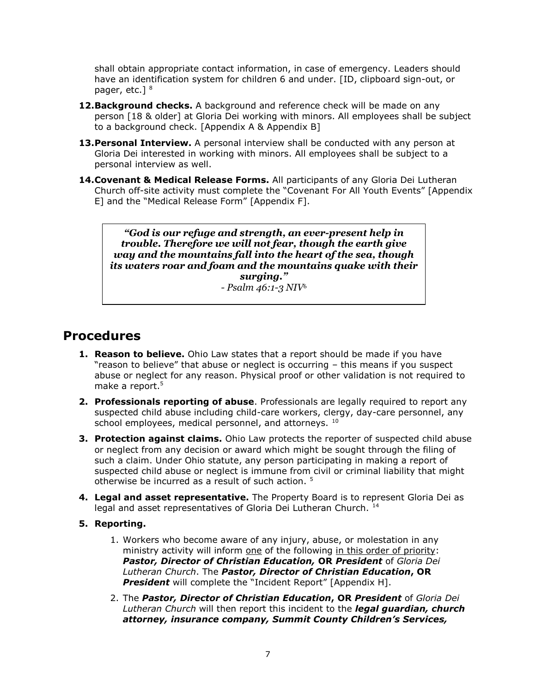shall obtain appropriate contact information, in case of emergency. Leaders should have an identification system for children 6 and under. [ID, clipboard sign-out, or pager, etc.]<sup>8</sup>

- **12.Background checks.** A background and reference check will be made on any person [18 & older] at Gloria Dei working with minors. All employees shall be subject to a background check. [Appendix A & Appendix B]
- **13.Personal Interview.** A personal interview shall be conducted with any person at Gloria Dei interested in working with minors. All employees shall be subject to a personal interview as well.
- **14.Covenant & Medical Release Forms.** All participants of any Gloria Dei Lutheran Church off-site activity must complete the "Covenant For All Youth Events" [Appendix E] and the "Medical Release Form" [Appendix F].

*"God is our refuge and strength, an ever-present help in trouble. Therefore we will not fear, though the earth give way and the mountains fall into the heart of the sea, though its waters roar and foam and the mountains quake with their surging."*

*- Psalm 46:1-3 NIV*<sup>6</sup>

### **Procedures**

- **1. Reason to believe.** Ohio Law states that a report should be made if you have "reason to believe" that abuse or neglect is occurring – this means if you suspect abuse or neglect for any reason. Physical proof or other validation is not required to make a report.<sup>5</sup>
- **2. Professionals reporting of abuse**. Professionals are legally required to report any suspected child abuse including child-care workers, clergy, day-care personnel, any school employees, medical personnel, and attorneys. 10
- **3. Protection against claims.** Ohio Law protects the reporter of suspected child abuse or neglect from any decision or award which might be sought through the filing of such a claim. Under Ohio statute, any person participating in making a report of suspected child abuse or neglect is immune from civil or criminal liability that might otherwise be incurred as a result of such action.<sup>5</sup>
- **4. Legal and asset representative.** The Property Board is to represent Gloria Dei as legal and asset representatives of Gloria Dei Lutheran Church.<sup>14</sup>
- **5. Reporting.**
	- 1. Workers who become aware of any injury, abuse, or molestation in any ministry activity will inform one of the following in this order of priority: *Pastor, Director of Christian Education,* **OR** *President* of *Gloria Dei Lutheran Church*. The *Pastor, Director of Christian Education***, OR** *President* will complete the "Incident Report" [Appendix H].
	- 2. The *Pastor, Director of Christian Education***, OR** *President* of *Gloria Dei Lutheran Church* will then report this incident to the *legal guardian, church attorney, insurance company, Summit County Children's Services,*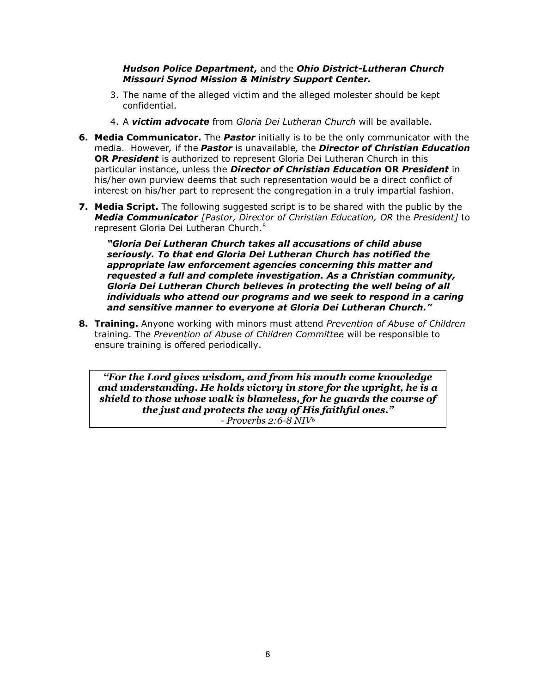#### *Hudson Police Department***,** and the *Ohio District-Lutheran Church Missouri Synod Mission & Ministry Support Center.*

- 3. The name of the alleged victim and the alleged molester should be kept confidential.
- 4. A *victim advocate* from *Gloria Dei Lutheran Church* will be available.
- **6. Media Communicator.** The *Pastor* initially is to be the only communicator with the media. However*,* if the *Pastor* is unavailable*,* the *Director of Christian Education* **OR** *President* is authorized to represent Gloria Dei Lutheran Church in this particular instance, unless the *Director of Christian Education* **OR** *President* in his/her own purview deems that such representation would be a direct conflict of interest on his/her part to represent the congregation in a truly impartial fashion.
- **7. Media Script.** The following suggested script is to be shared with the public by the *Media Communicator [Pastor, Director of Christian Education, OR* the *President]* to represent Gloria Dei Lutheran Church.<sup>8</sup>

*"Gloria Dei Lutheran Church takes all accusations of child abuse seriously. To that end Gloria Dei Lutheran Church has notified the appropriate law enforcement agencies concerning this matter and requested a full and complete investigation. As a Christian community, Gloria Dei Lutheran Church believes in protecting the well being of all individuals who attend our programs and we seek to respond in a caring and sensitive manner to everyone at Gloria Dei Lutheran Church."*

**8. Training.** Anyone working with minors must attend *Prevention of Abuse of Children* training. The *Prevention of Abuse of Children Committee* will be responsible to ensure training is offered periodically.

*"For the Lord gives wisdom, and from his mouth come knowledge and understanding. He holds victory in store for the upright, he is a shield to those whose walk is blameless, for he guards the course of the just and protects the way of His faithful ones." - Proverbs 2:6-8 NIV*<sup>6</sup>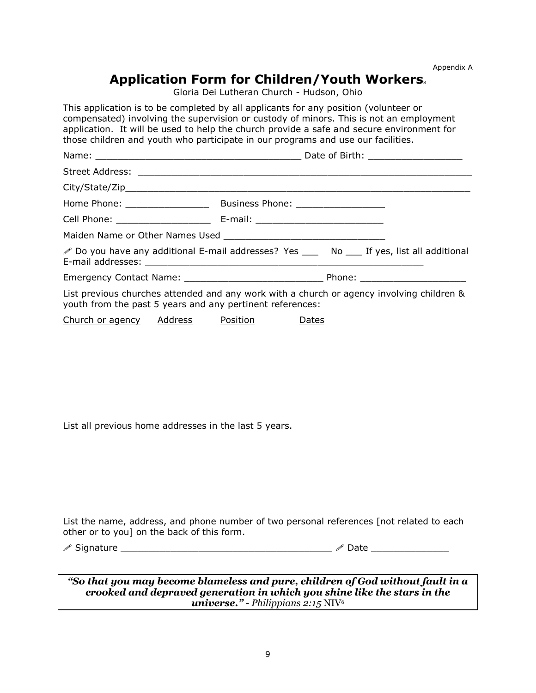Appendix A

### Application Form for Children/Youth Workers.

Gloria Dei Lutheran Church - Hudson, Ohio

This application is to be completed by all applicants for any position (volunteer or compensated) involving the supervision or custody of minors. This is not an employment application. It will be used to help the church provide a safe and secure environment for those children and youth who participate in our programs and use our facilities.

|                                                           | Do you have any additional E-mail addresses? Yes ______ No _____ If yes, list all additional |
|-----------------------------------------------------------|----------------------------------------------------------------------------------------------|
|                                                           |                                                                                              |
| youth from the past 5 years and any pertinent references: | List previous churches attended and any work with a church or agency involving children &    |
|                                                           |                                                                                              |

Church or agency Address Position Dates

List all previous home addresses in the last 5 years.

List the name, address, and phone number of two personal references [not related to each other or to you] on the back of this form.

 $\mathscr{S}$  Signature  $\Box$ 

*"So that you may become blameless and pure, children of God without fault in a crooked and depraved generation in which you shine like the stars in the universe." - Philippians 2:15* NIV<sup>6</sup>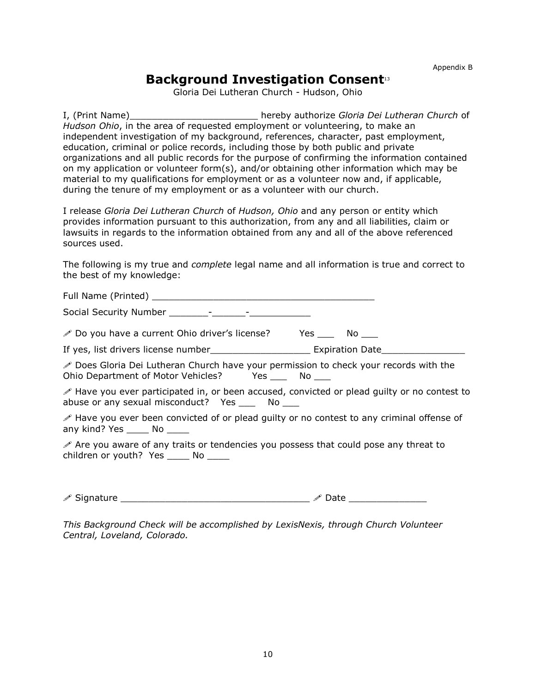Appendix B

#### **Background Investigation Consent**13

Gloria Dei Lutheran Church - Hudson, Ohio

I, (Print Name)\_\_\_\_\_\_\_\_\_\_\_\_\_\_\_\_\_\_\_\_\_\_\_ hereby authorize *Gloria Dei Lutheran Church* of *Hudson Ohio*, in the area of requested employment or volunteering, to make an independent investigation of my background, references, character, past employment, education, criminal or police records, including those by both public and private organizations and all public records for the purpose of confirming the information contained on my application or volunteer form(s), and/or obtaining other information which may be material to my qualifications for employment or as a volunteer now and, if applicable, during the tenure of my employment or as a volunteer with our church.

I release *Gloria Dei Lutheran Church* of *Hudson, Ohio* and any person or entity which provides information pursuant to this authorization, from any and all liabilities, claim or lawsuits in regards to the information obtained from any and all of the above referenced sources used.

The following is my true and *complete* legal name and all information is true and correct to the best of my knowledge:

Full Name (Printed) \_\_\_\_\_\_\_\_\_\_\_\_\_\_\_\_\_\_\_\_\_\_\_\_\_\_\_\_\_\_\_\_\_\_\_\_\_\_\_\_ Social Security Number \_\_\_\_\_\_\_-\_\_\_\_\_\_-\_\_\_\_\_\_\_\_\_\_\_  $\mathscr{P}$  Do you have a current Ohio driver's license? Yes  $\qquad$  No  $\qquad$ If yes, list drivers license number The Research Expiration Date Does Gloria Dei Lutheran Church have your permission to check your records with the Ohio Department of Motor Vehicles? Yes \_\_\_ No \_\_\_ Have you ever participated in, or been accused, convicted or plead guilty or no contest to abuse or any sexual misconduct? Yes \_\_\_ No \_\_\_ Have you ever been convicted of or plead guilty or no contest to any criminal offense of any kind? Yes \_\_\_\_\_ No \_\_\_\_\_  $\mathscr S$  Are you aware of any traits or tendencies you possess that could pose any threat to children or youth? Yes \_\_\_\_\_ No \_\_\_\_\_

 $\mathscr{S}$  Signature \_\_\_\_\_\_\_\_\_\_\_\_\_\_\_\_\_\_\_\_\_\_\_\_\_\_\_\_\_\_\_\_\_\_\_  $\mathscr{S}$  Date \_\_\_\_\_\_\_\_

*This Background Check will be accomplished by LexisNexis, through Church Volunteer Central, Loveland, Colorado.*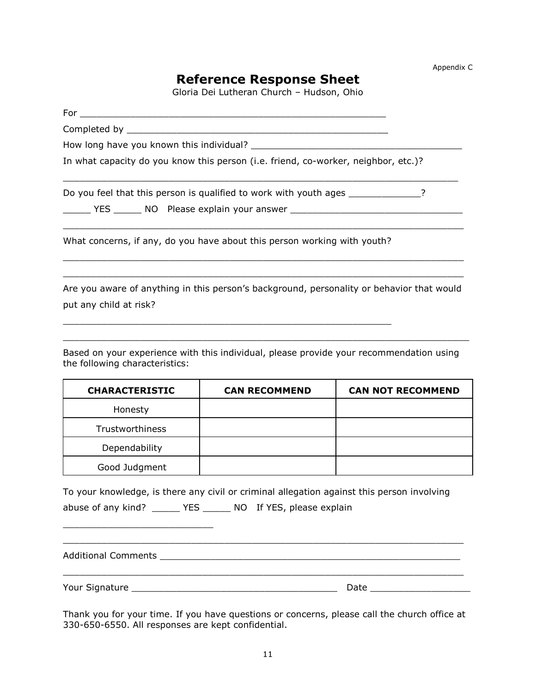#### **Reference Response Sheet**

Gloria Dei Lutheran Church – Hudson, Ohio

| In what capacity do you know this person (i.e. friend, co-worker, neighbor, etc.)?        |
|-------------------------------------------------------------------------------------------|
| Do you feel that this person is qualified to work with youth ages                         |
| What concerns, if any, do you have about this person working with youth?                  |
| Are you aware of anything in this person's background, personality or behavior that would |

put any child at risk?

\_\_\_\_\_\_\_\_\_\_\_\_\_\_\_\_\_\_\_\_\_\_\_\_\_\_\_

Based on your experience with this individual, please provide your recommendation using the following characteristics:

 $\_$  ,  $\_$  ,  $\_$  ,  $\_$  ,  $\_$  ,  $\_$  ,  $\_$  ,  $\_$  ,  $\_$  ,  $\_$  ,  $\_$  ,  $\_$  ,  $\_$  ,  $\_$  ,  $\_$  ,  $\_$  ,  $\_$  ,  $\_$  ,  $\_$  ,  $\_$ 

 $\mathcal{L}_\mathcal{L}$  , and the contribution of the contribution of the contribution of the contribution of the contribution of the contribution of the contribution of the contribution of the contribution of the contribution of

| <b>CHARACTERISTIC</b> | <b>CAN RECOMMEND</b> | <b>CAN NOT RECOMMEND</b> |
|-----------------------|----------------------|--------------------------|
| Honesty               |                      |                          |
| Trustworthiness       |                      |                          |
| Dependability         |                      |                          |
| Good Judgment         |                      |                          |

To your knowledge, is there any civil or criminal allegation against this person involving abuse of any kind? \_\_\_\_\_ YES \_\_\_\_\_ NO If YES, please explain

Additional Comments \_\_\_\_\_\_\_\_\_\_\_\_\_\_\_\_\_\_\_\_\_\_\_\_\_\_\_\_\_\_\_\_\_\_\_\_\_\_\_\_\_\_\_\_\_\_\_\_\_\_\_\_\_\_ \_\_\_\_\_\_\_\_\_\_\_\_\_\_\_\_\_\_\_\_\_\_\_\_\_\_\_\_\_\_\_\_\_\_\_\_\_\_\_\_\_\_\_\_\_\_\_\_\_\_\_\_\_\_\_\_\_\_\_\_\_\_\_\_\_\_\_\_\_\_\_\_ Your Signature \_\_\_\_\_\_\_\_\_\_\_\_\_\_\_\_\_\_\_\_\_\_\_\_\_\_\_\_\_\_\_\_\_\_\_\_\_ Date \_\_\_\_\_\_\_\_\_\_\_\_\_\_\_\_\_\_

Thank you for your time. If you have questions or concerns, please call the church office at 330-650-6550. All responses are kept confidential.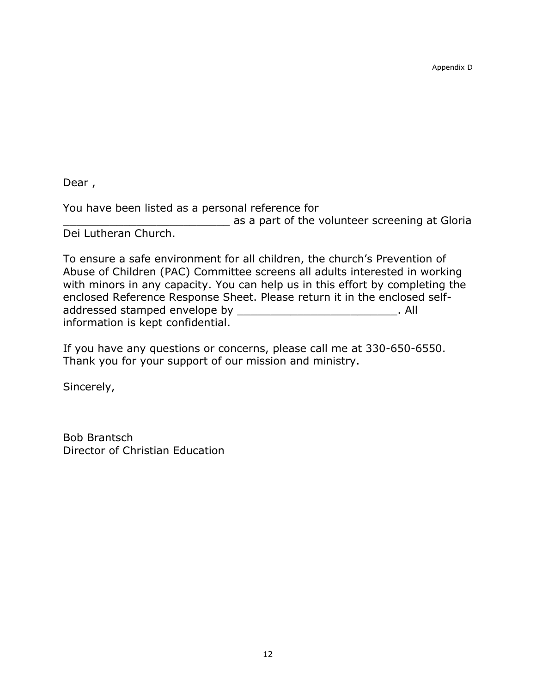Appendix D

Dear ,

You have been listed as a personal reference for **Example 25 as a part of the volunteer screening at Gloria** Dei Lutheran Church.

To ensure a safe environment for all children, the church's Prevention of Abuse of Children (PAC) Committee screens all adults interested in working with minors in any capacity. You can help us in this effort by completing the enclosed Reference Response Sheet. Please return it in the enclosed selfaddressed stamped envelope by entitled and the state of  $\blacksquare$ . All information is kept confidential.

If you have any questions or concerns, please call me at 330-650-6550. Thank you for your support of our mission and ministry.

Sincerely,

Bob Brantsch Director of Christian Education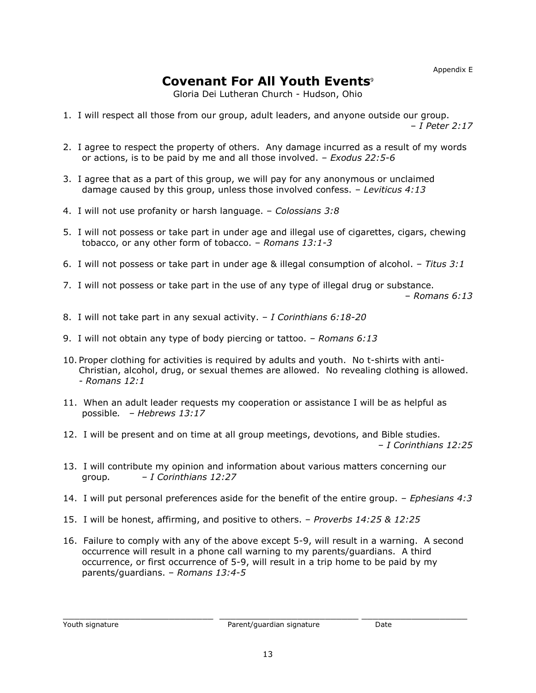Appendix E

# **Covenant For All Youth Events**<sup>9</sup>

Gloria Dei Lutheran Church - Hudson, Ohio

- 1. I will respect all those from our group, adult leaders, and anyone outside our group. – *I Peter 2:17*
- 2. I agree to respect the property of others. Any damage incurred as a result of my words or actions, is to be paid by me and all those involved. – *Exodus 22:5-6*
- 3. I agree that as a part of this group, we will pay for any anonymous or unclaimed damage caused by this group, unless those involved confess. – *Leviticus 4:13*
- 4. I will not use profanity or harsh language. *Colossians 3:8*
- 5. I will not possess or take part in under age and illegal use of cigarettes, cigars, chewing tobacco, or any other form of tobacco. – *Romans 13:1-3*
- 6. I will not possess or take part in under age & illegal consumption of alcohol. *Titus 3:1*
- 7. I will not possess or take part in the use of any type of illegal drug or substance. – *Romans 6:13*
- 8. I will not take part in any sexual activity. *I Corinthians 6:18-20*
- 9. I will not obtain any type of body piercing or tattoo. *Romans 6:13*
- 10. Proper clothing for activities is required by adults and youth. No t-shirts with anti-Christian, alcohol, drug, or sexual themes are allowed. No revealing clothing is allowed. *- Romans 12:1*
- 11. When an adult leader requests my cooperation or assistance I will be as helpful as possible*. – Hebrews 13:17*
- 12. I will be present and on time at all group meetings, devotions, and Bible studies. – *I Corinthians 12:25*
- 13. I will contribute my opinion and information about various matters concerning our group*. – I Corinthians 12:27*
- 14. I will put personal preferences aside for the benefit of the entire group. *Ephesians 4:3*
- 15. I will be honest, affirming, and positive to others. *Proverbs 14:25 & 12:25*
- 16. Failure to comply with any of the above except 5-9, will result in a warning. A second occurrence will result in a phone call warning to my parents/guardians. A third occurrence, or first occurrence of 5-9, will result in a trip home to be paid by my parents/guardians. – *Romans 13:4-5*

 $\_$  ,  $\_$  ,  $\_$  ,  $\_$  ,  $\_$  ,  $\_$  ,  $\_$  ,  $\_$  ,  $\_$  ,  $\_$  ,  $\_$  ,  $\_$  ,  $\_$  ,  $\_$  ,  $\_$  ,  $\_$  ,  $\_$  ,  $\_$  ,  $\_$  ,  $\_$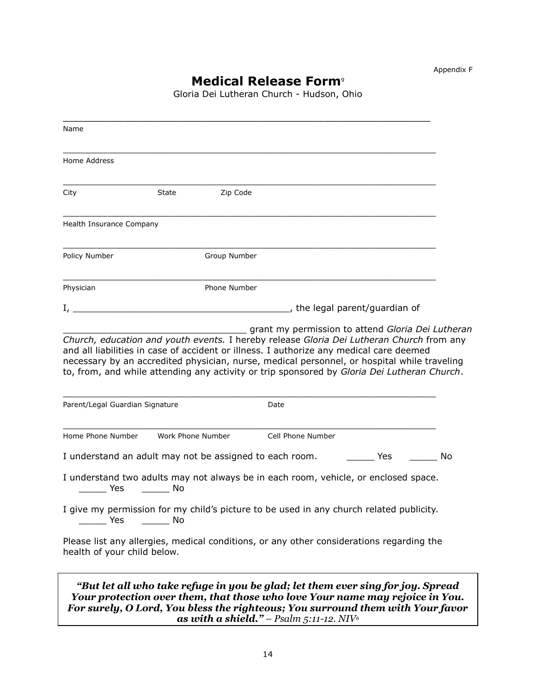# **Medical Release Form**<sup>9</sup>

Gloria Dei Lutheran Church - Hudson, Ohio

| Name                                                                                                                                                                                                                                                  |                                                      |              |                                                                                                                                                                                                                                                   |
|-------------------------------------------------------------------------------------------------------------------------------------------------------------------------------------------------------------------------------------------------------|------------------------------------------------------|--------------|---------------------------------------------------------------------------------------------------------------------------------------------------------------------------------------------------------------------------------------------------|
| Home Address                                                                                                                                                                                                                                          |                                                      |              |                                                                                                                                                                                                                                                   |
| City                                                                                                                                                                                                                                                  | <b>State</b>                                         | Zip Code     |                                                                                                                                                                                                                                                   |
| Health Insurance Company                                                                                                                                                                                                                              |                                                      |              |                                                                                                                                                                                                                                                   |
| Policy Number                                                                                                                                                                                                                                         |                                                      | Group Number |                                                                                                                                                                                                                                                   |
| Physician                                                                                                                                                                                                                                             |                                                      | Phone Number |                                                                                                                                                                                                                                                   |
| $\mathbf{I}_{\mathcal{I}}$ and $\mathbf{I}_{\mathcal{I}}$ are the contract of the contract of the contract of the contract of the contract of the contract of the contract of the contract of the contract of the contract of the contract of the con |                                                      |              | the legal parent/guardian of                                                                                                                                                                                                                      |
| Parent/Legal Guardian Signature                                                                                                                                                                                                                       |                                                      |              | to, from, and while attending any activity or trip sponsored by Gloria Dei Lutheran Church.<br>Date                                                                                                                                               |
| Home Phone Number                                                                                                                                                                                                                                     | Work Phone Number                                    |              | Cell Phone Number                                                                                                                                                                                                                                 |
| I understand an adult may not be assigned to each room.                                                                                                                                                                                               |                                                      |              | <b>Example ST</b><br>No                                                                                                                                                                                                                           |
| Yes                                                                                                                                                                                                                                                   | in a strong No                                       |              | I understand two adults may not always be in each room, vehicle, or enclosed space.                                                                                                                                                               |
| Yes                                                                                                                                                                                                                                                   | $\frac{1}{\sqrt{1-\frac{1}{2}}}\sqrt{1-\frac{1}{2}}$ |              | I give my permission for my child's picture to be used in any church related publicity.                                                                                                                                                           |
| health of your child below.                                                                                                                                                                                                                           |                                                      |              | Please list any allergies, medical conditions, or any other considerations regarding the                                                                                                                                                          |
|                                                                                                                                                                                                                                                       |                                                      |              | "But let all who take refuge in you be glad; let them ever sing for joy. Spread<br>Your protection over them, that those who love Your name may rejoice in You.<br>For surely, O Lord, You bless the righteous; You surround them with Your favor |

*as with a shield." – Psalm 5:11-12. NIV<sup>6</sup>*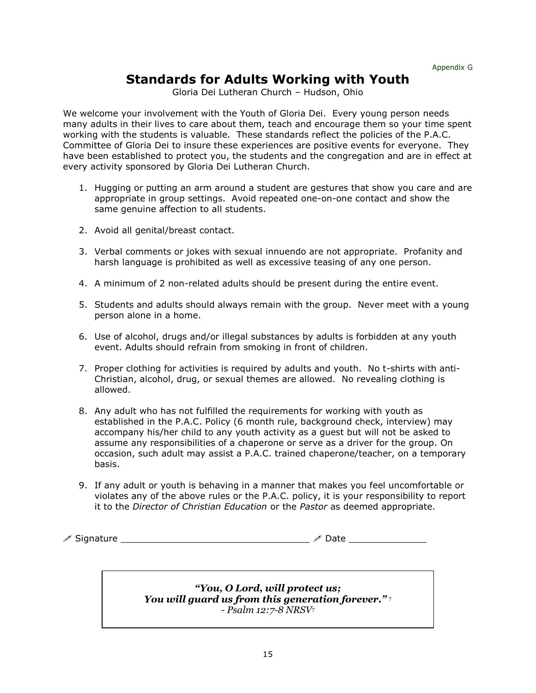#### **Standards for Adults Working with Youth**

Gloria Dei Lutheran Church – Hudson, Ohio

We welcome your involvement with the Youth of Gloria Dei. Every young person needs many adults in their lives to care about them, teach and encourage them so your time spent working with the students is valuable. These standards reflect the policies of the P.A.C. Committee of Gloria Dei to insure these experiences are positive events for everyone. They have been established to protect you, the students and the congregation and are in effect at every activity sponsored by Gloria Dei Lutheran Church.

- 1. Hugging or putting an arm around a student are gestures that show you care and are appropriate in group settings. Avoid repeated one-on-one contact and show the same genuine affection to all students.
- 2. Avoid all genital/breast contact.
- 3. Verbal comments or jokes with sexual innuendo are not appropriate. Profanity and harsh language is prohibited as well as excessive teasing of any one person.
- 4. A minimum of 2 non-related adults should be present during the entire event.
- 5. Students and adults should always remain with the group. Never meet with a young person alone in a home.
- 6. Use of alcohol, drugs and/or illegal substances by adults is forbidden at any youth event. Adults should refrain from smoking in front of children.
- 7. Proper clothing for activities is required by adults and youth. No t-shirts with anti-Christian, alcohol, drug, or sexual themes are allowed. No revealing clothing is allowed.
- 8. Any adult who has not fulfilled the requirements for working with youth as established in the P.A.C. Policy (6 month rule, background check, interview) may accompany his/her child to any youth activity as a guest but will not be asked to assume any responsibilities of a chaperone or serve as a driver for the group. On occasion, such adult may assist a P.A.C. trained chaperone/teacher, on a temporary basis.
- 9. If any adult or youth is behaving in a manner that makes you feel uncomfortable or violates any of the above rules or the P.A.C. policy, it is your responsibility to report it to the *Director of Christian Education* or the *Pastor* as deemed appropriate.

 $\mathscr{S}$  Signature  $\Box$ 

*"You, O Lord, will protect us; You will guard us from this generation forever."* <sup>7</sup> *- Psalm 12:7-8 NRSV*<sup>7</sup>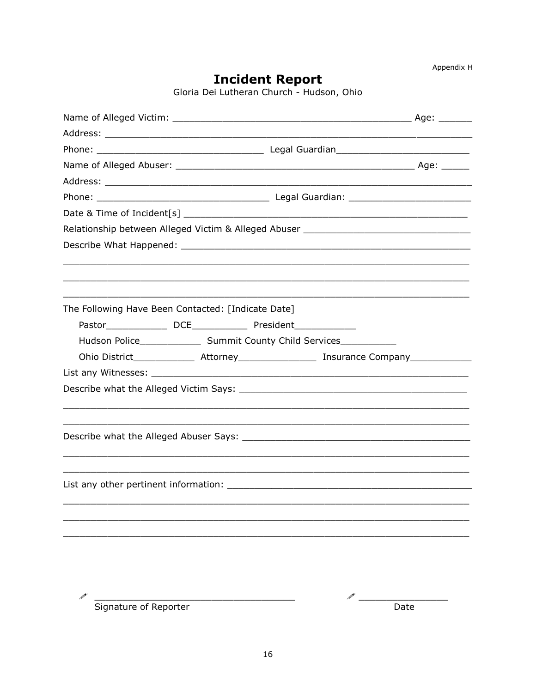**Incident Report**<br>Gloria Dei Lutheran Church - Hudson, Ohio

| Relationship between Alleged Victim & Alleged Abuser ___________________________                               |                                                                                  |  |  |  |  |
|----------------------------------------------------------------------------------------------------------------|----------------------------------------------------------------------------------|--|--|--|--|
|                                                                                                                |                                                                                  |  |  |  |  |
|                                                                                                                |                                                                                  |  |  |  |  |
|                                                                                                                | ,我们也不能在这里的时候,我们也不能在这里的时候,我们也不能会在这里,我们也不能会不能会不能会不能会不能会不能会不能会。""我们的是我们的,我们也不能会不能会不 |  |  |  |  |
|                                                                                                                |                                                                                  |  |  |  |  |
| The Following Have Been Contacted: [Indicate Date]                                                             |                                                                                  |  |  |  |  |
|                                                                                                                |                                                                                  |  |  |  |  |
|                                                                                                                | Hudson Police_____________________ Summit County Child Services_________________ |  |  |  |  |
|                                                                                                                |                                                                                  |  |  |  |  |
|                                                                                                                |                                                                                  |  |  |  |  |
|                                                                                                                |                                                                                  |  |  |  |  |
|                                                                                                                |                                                                                  |  |  |  |  |
|                                                                                                                |                                                                                  |  |  |  |  |
| Describe what the Alleged Abuser Says: Network and the Control of the Control of the Control of the Control of |                                                                                  |  |  |  |  |
|                                                                                                                |                                                                                  |  |  |  |  |
|                                                                                                                |                                                                                  |  |  |  |  |
|                                                                                                                |                                                                                  |  |  |  |  |
|                                                                                                                |                                                                                  |  |  |  |  |
|                                                                                                                |                                                                                  |  |  |  |  |
|                                                                                                                |                                                                                  |  |  |  |  |
|                                                                                                                |                                                                                  |  |  |  |  |
|                                                                                                                |                                                                                  |  |  |  |  |

 $\begin{array}{c}\n\diagup{\text{Signature of Reporter}}\n\end{array}$ 

 $\begin{picture}(20,20)(-0,0) \put(0,0){\line(1,0){10}} \put(0,0){\line(1,0){10}} \put(0,0){\line(1,0){10}} \put(0,0){\line(1,0){10}} \put(0,0){\line(1,0){10}} \put(0,0){\line(1,0){10}} \put(0,0){\line(1,0){10}} \put(0,0){\line(1,0){10}} \put(0,0){\line(1,0){10}} \put(0,0){\line(1,0){10}} \put(0,0){\line(1,0){10}} \put(0,0){\line(1,0){10}}$  $\overline{Date}$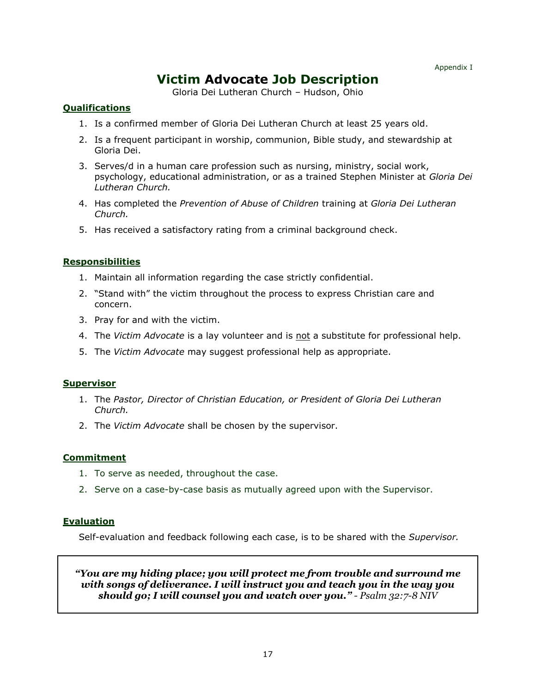# **Victim Advocate Job Description**

Gloria Dei Lutheran Church – Hudson, Ohio

#### **Qualifications**

- 1. Is a confirmed member of Gloria Dei Lutheran Church at least 25 years old.
- 2. Is a frequent participant in worship, communion, Bible study, and stewardship at Gloria Dei.
- 3. Serves/d in a human care profession such as nursing, ministry, social work, psychology, educational administration, or as a trained Stephen Minister at *Gloria Dei Lutheran Church.*
- 4. Has completed the *Prevention of Abuse of Children* training at *Gloria Dei Lutheran Church.*
- 5. Has received a satisfactory rating from a criminal background check.

#### **Responsibilities**

- 1. Maintain all information regarding the case strictly confidential.
- 2. "Stand with" the victim throughout the process to express Christian care and concern.
- 3. Pray for and with the victim.
- 4. The *Victim Advocate* is a lay volunteer and is not a substitute for professional help.
- 5. The *Victim Advocate* may suggest professional help as appropriate.

#### **Supervisor**

- 1. The *Pastor, Director of Christian Education, or President of Gloria Dei Lutheran Church.*
- 2. The *Victim Advocate* shall be chosen by the supervisor.

#### **Commitment**

- 1. To serve as needed, throughout the case.
- 2. Serve on a case-by-case basis as mutually agreed upon with the Supervisor.

#### **Evaluation**

Self-evaluation and feedback following each case, is to be shared with the *Supervisor.* 

#### *"You are my hiding place; you will protect me from trouble and surround me with songs of deliverance. I will instruct you and teach you in the way you should go; I will counsel you and watch over you." - Psalm 32:7-8 NIV*